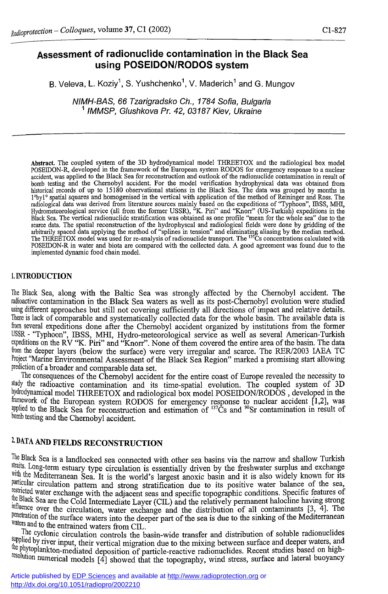# **Assessment of radionuclide contamination in the Black Sea using POSEIDON/RODOS system**

B. Veleva, L. Koziyˈ, S. Yushchenkoˈ, V. Maderichˈ and G. Mungov

*NIMH-BAS, 66 Tzarigradsko Ch., 1784 Sofia, Bulgaria 1 IMMSP, Glushkova Pr. 42, 03187 Kiev, Ukraine* 

**Abstract. The coupled system of the 3D hydrodynamical model THREETOX and the radiological box model POSEIDON-R, developed in the framework of the European system RODOS for emergency response to a nuclear accident, was applied to the Black Sea for reconstruction and outlook of the radionuclide contamination in result of**  bomb testing and the Chernobyl accident. For the model verification hydrophysical data was obtained from<br>historical records of up to 15180 observational stations in the Black Sea. The data was grouped by months in<br>1°byl° s radiological data was derived from literature sources mainly based on the expeditions of "Typhoon", IBSS, MHI,<br>Hydrometeorological service (all from the former USSR), "K. Piri" and "Knorr" (US-Turkish) expeditions in the<br>B arbitrarily spaced data applying the method of "splines in tension" and eliminating aliasing by the median method.<br>The THREETOX model was used for re-analysis of radionuclide transport. The <sup>137</sup>Cs concentrations calculate **POSEIDON-R in water and biota are compared with the collected data. A good agreement was found due to the implemented dynamic food chain model.** 

### 1. INTRODUCTION

The Black Sea, along with the Baltic Sea was strongly affected by the Chernobyl accident. The radioactive contamination in the Black Sea waters as well as its post-Chernobyl evolution were studied using different approaches but still not covering sufficiently all directions of impact and relative details. There is lack of comparable and systematically collected data for the whole basin. The available data is from several expeditions done after the Chernobyl accident organized by institutions from the former USSR - "Typhoon", IBSS, MHI, Hydro-meteorological service as well as several American-Turkish expeditions on the RV "K. Piri" and "Knorr". None of them covered the entire area of the basin. The data from the deeper layers (below the surface) were very irregular and scarce. The RER/2003 IAEA TC Project "Marine Environmental Assessment of the Black Sea Region" marked a promising start allowing prediction of a broader and comparable data set.

The consequences of the Chernobyl accident for the entire coast of Europe revealed the necessity to study the radioactive contamination and its time-spatial evolution. The coupled system of 3D hydrodynamical model THREETOX and radiological box model POSEIDON/RODOS, developed in the framework of the European system RODOS for emergency response to nuclear accident [1,2], was applied to the Black Sea for reconstruction and estimation of <sup>137</sup>Cs and <sup>90</sup>Sr contamination in result of bomb testing and the Chernobyl accident.

# 2. DATA AND FEELDS RECONSTRUCTION

The Black Sea is a landlocked sea connected with other sea basins via the narrow and shallow Turkish straits. Long-term estuary type circulation is essentially driven by the freshwater surplus and exchange with the Mediterranean Sea. It is the world's largest anoxic basin and it is also widely known for its particular circulation pattern and strong stratification due to its positive water balance of the sea restricted water exchange with the adjacent seas and specific topographic conditions. Specific features of the Black Sea are the Cold Intermediate Layer (CIL) and the relatively permanent halocline having strong influence over the circulation, water exchange and the distribution of all contaminants [3, 4]. The penetration of the surface waters into the deeper part of the sea is due to the sinking of the Mediterranean waters and to the entrained waters from CIL.

The cyclonic circulation controls the basin-wide transfer and distribution of soluble radionuclides supplied by river input, their vertical migration due to the mixing between surface and deeper waters, and<br>the start is the start of the mixing between surface and deeper waters, and the phytoplankton-mediated deposition of particle-reactive radionuclides. Recent studies based on highsolution numerical models [4] showed that the topography, wind stress, surface and lateral buoyancy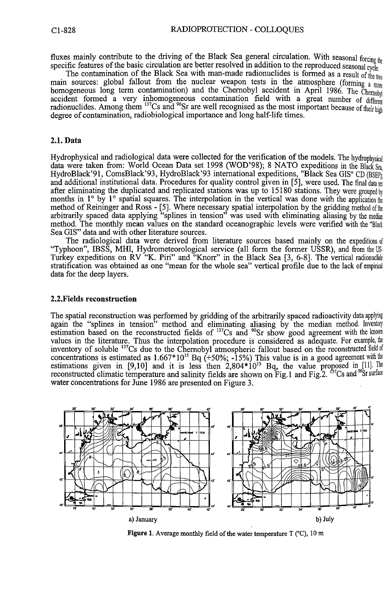fluxes mainly contribute to the driving of the Black Sea general circulation. With seasonal **forcing**  specific features of the basic circulation are better resolved in addition to the reproduced seasonal cycle.

The contamination of the Black Sea with man-made radionuclides is formed as a result of the two **f** main sources: global fallout from the nuclear weapon tests in the atmosphere (forming a more homogeneous long term contamination) and the Chernobyl accident in April 1986. The Chernobyl accident formed a very inhomogeneous contamination field with a great number of different radionuclides. Among them <sup>137</sup>Cs and <sup>90</sup>Sr are well recognised as the most important because of their high degree of contamination, radiobiological importance and long half-life times.

## **2.1.** Data

Hydrophysical and radiological data were collected for the verification of the models. The hydrophysical data were taken from: World Ocean Data set 1998 (WOD'98); 8 NATO expeditions in the Black Sea HydroBlack'91, ComsBlack'93, HydroBlack'93 international expeditions, "Black Sea GIS" CD (BSEP); and additional institutional data. Procedures for quality control given in [5], were used. The final data set after eliminating the duplicated and replicated stations was up to  $15180$  stations. They were grouped by months in 1° by 1° spatial squares. The interpolation in the vertical was done with the application the method of Reininger and Ross - [5]. Where necessary spatial interpolation by the gridding method of the arbitrarily spaced data applying "splines in tension" was used with eliminating aliasing by the median method. The monthly mean values on the standard océanographie levels were verified with the "Black Sea GIS" data and with other literature sources.

The radiological data were derived from literature sources based mainly on the expeditions of "Typhoon", IBSS, MHI, Hydrometeorological service (all form the former USSR), and from the US-Turkey expeditions on RV "K. Piri" and "Knorr" in the Black Sea [3, 6-8]. The vertical radionuclide stratification was obtained as one "mean for the whole sea" vertical profile due to the lack of empirical data for the deep layers.

### **2.2**.Fields reconstruction

The spatial reconstruction was performed by gridding of the arbitrarily spaced radioactivity data applying again the "splines in tension" method and eliminating aliasing by the median method. Inventory estimation based on the reconstructed fields of  $13^{\circ}$ Cs and  $9^{\circ}$ Sr show good agreement with the known values in the literature. Thus the interpolation procedure is considered as adequate. For example, the inventory of soluble <sup>137</sup>Cs due to the Chernobyl atmospheric fallout based on the reconstructed field of concentrations is estimated as  $1.667*10^{15}$  Bq (+50%; -15%) This value is in a good agreement with the estimations given in [9,10] and it is less then  $2,804*10^{15}$  Bq, the value proposed in [11]. The reconstructed climatic temperature and salinity fields are shown on Fig.1 and Fig.  $2^{137}Cs$  and  $^{90}Sr$  surface water concentrations for June 1986 are presented on Figure 3.



**Figure 1. Average monthly field of the water temperature T (°C), 10 m**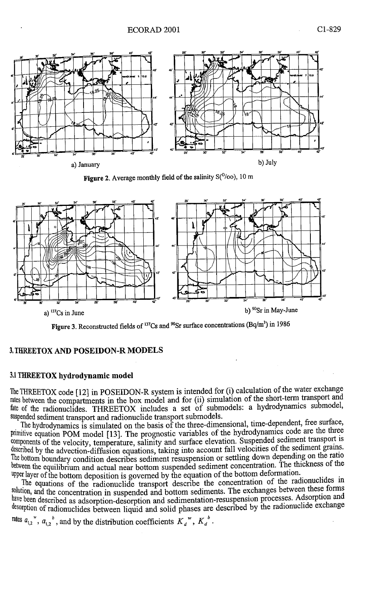

**Figure 2. Average monthly field of the salinity S(°/oo), 10 m** 



**Figure 3. Reconstructed fields of <sup>137</sup>Cs and "Sr surface concentrations (Bq/m<sup>3</sup> ) in 1986** 

#### **3. THREETOX AND POSEIDON-R MODELS**

#### **3.1 THREETOX hydrodynamic model**

The THREETOX code [12] in POSEIDON-R system is intended for (i) calculation of the water exchange rates between the compartments in the box model and for (ii) simulation of the short-term transport and fate of the radionuclides. THREETOX includes a set of submodels: a hydrodynamics submodel, suspended sediment transport and radionuclide transport submodels.

The hydrodynamics is simulated on the basis of the three-dimensional, time-dependent, tree surtace, primitive equation POM model [13]. The prognostic variables of the hydrodynamics code are the three components of the velocity, temperature, salinity and surface elevation. Suspended sediment transport is described by the advection-diffusion equations, taking into account fall velocities of the sediment grains. The bottom boundary condition describes sediment resuspension or settling down depending on the ratio between the equilibrium and actual near bottom suspended sediment concentration. The thickness of the upper layer of the bottom deposition is governed by the equation of the bottom deformation.

The equations of the radionuclide transport describe the concentration of the radionuclides in solution, and the concentration in suspended and bottom sediments. The exchanges between these torms have been described as adsorption-desorption and sedimentation-resuspension processes. Adsorption and desorption of radionuclides between liquid and solid phases are described by the radionuclide exchange

rates  $a_{1,2}$ <sup>"</sup>,  $a_{1,2}$ <sup>"</sup>, and by the distribution coefficients  $K_d$ <sup>"</sup>,  $K_d$ <sup>"</sup>.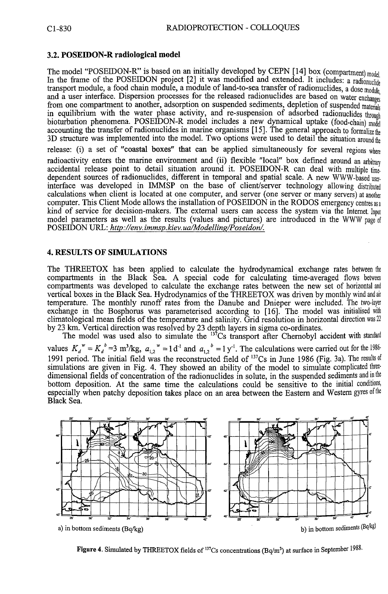## 3.2. **POSEIDON-R radiological model**

The model "POSEIDON-R" is based on an initially developed by CEPN [14] box (compartment) model In the frame of the POSEIDON project [2] it was modified and extended. It includes: a radionuclide transport module, a food chain module, a module of land-to-sea transfer of radionuclides, a dose **module,**  and a user interface. Dispersion processes for the released radionuclides are based on water exchanges from one compartment to another, adsorption on suspended sediments, depletion of suspended **materials**  in equilibrium with the water phase activity, and re-suspension of adsorbed radionuclides through bioturbation phenomena. POSEIDON-R model includes a new dynamical uptake (food-chain) **model**  accounting the transfer of radionuclides in marine organisms [15]. The general approach to formalize the 3D structure was implemented into the model. Two options were used to detail the situation **around the**  release: (i) a set of "coastal boxes" that can be applied simultaneously for several regions **where**  radioactivity enters the marine environment and (ii) flexible "local" box defined around an arbitrary accidental release point to detail situation around it. POSEIDON-R can deal with multiple **time**dependent sources of radionuclides, different in temporal and spatial scale. A new WWW-based userinterface was developed in IMMSP on the base of client/server technology allowing **distributed**  calculations when client is located at one computer, and server (one server or many servers) at another computer. This Client Mode allows the installation of POSEIDON in the RODOS emergency **centres as a**  kind of service for decision-makers. The external users can access the system via the **Internet. Input**  model parameters as well as the results (values and pictures) are introduced in the WWW page of POSEIDON URL: *http://env. immsp.kiev. ua/Modelling/Poseidon/.* 

### **4. RESULTS OF SIMULATIONS**

The THREETOX has been applied to calculate the hydrodynamical exchange rates between **the**  compartments in the Black Sea. A special code for calculating time-averaged flows between compartments was developed to calculate the exchange rates between the new set of horizontal **and**  vertical boxes in the Black Sea. Hydrodynamics of the THREETOX was driven by monthly wind and **air**  temperature. The monthly runoff rates from the Danube and Dnieper were included. The **two-layer**  exchange in the Bosphorus was parameterised according to [16]. The model was initialised with climatological mean fields of the temperature and salinity. Grid resolution in horizontal direction **was 22**  by 23 km. Vertical direction was resolved by 23 depth layers in sigma co-ordinates.

The model was used also to simulate the  $13\text{°Cs}$  transport after Chernobyl accident with standard values  $K_d^{\prime\prime} = K_d^{\prime\prime} = 3$  m<sup>3</sup>/kg,  $a_{1,2}^{\prime\prime} = 1$  d<sup>-1</sup> and  $a_{1,2}^{\prime\prime} = 1$  y<sup>-1</sup>. The calculations were carried out for the 1986 1991 period. The initial field was the reconstructed field of <sup>137</sup>Cs in June 1986 (Fig. 3a). The results **of**  simulations are given in Fig. 4. They showed an ability of the model to simulate complicated threedimensional fields of concentration of the radionuclides in solute, in the suspended sediments and in the bottom deposition. At the same time the calculations could be sensitive to the initial **conditions,**  especially when patchy deposition takes place on an area between the Eastern and Western gyres **of the**  Black Sea.



**Figure 4.** Simulated by THREETOX fields of <sup>137</sup>Cs concentrations (Bq/m<sup>3</sup>) at surface in September 1980.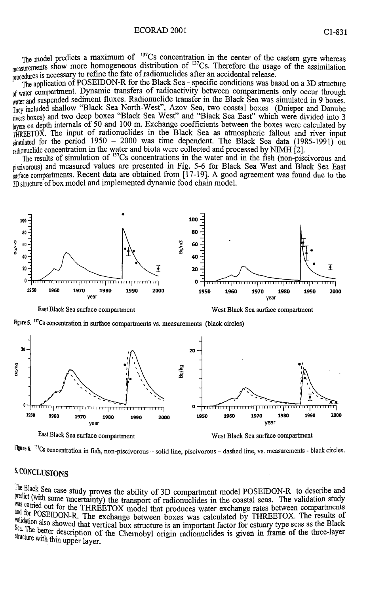The model predicts a maximum of  $137Cs$  concentration in the center of the eastern gyre whereas <sub>measurements</sub> show more homogeneous distribution of <sup>137</sup>Cs. Therefore the usage of the assimilation procedures is necessary to refine the fate of radionuclides after an accidental release.

The application of POSEIDON-R for the Black Sea - specific conditions was based on a 3D structure of water compartment. Dynamic transfers of radioactivity between compartments only occur through water and suspended sediment fluxes. Radionuclide transfer in the Black Sea was simulated in 9 boxes. They included shallow "Black Sea North-West", Azov Sea, two coastal boxes (Dnieper and Danube rivers boxes) and two deep boxes "Black Sea West" and "Black Sea East" which were divided into 3 layers on depth internals of 50 and 100 m. Exchange coefficients between the boxes were calculated by THREETOX. The input of radionuclides in the Black Sea as atmospheric fallout and river input simulated for the period  $1950 - 2000$  was time dependent. The Black Sea data  $(1985-1991)$  on radionuclide concentration in the water and biota were collected and processed by NIMH  $\hat{Z}$ ].

The results of simulation of <sup>137</sup>Cs concentrations in the water and in the fish (non-piscivorous and piscivorous) and measured values are presented in Fig. 5-6 for Black Sea West and Black Sea East surface compartments. Recent data are obtained from [17-19]. A good agreement was found due to the 3D structure of box model and implemented dynamic food chain model.



**!«re 6. <sup>137</sup>Cs concentration in fish, non-piscivorous - solid line, piscivorous - dashed line, vs. measurements - black circles.** 

# **5. CONCLUSION S**

The Black Sea case study proves the ability of 3D compartment model POSEIDON-R to describe and predict (with some uncertainty) the transport of radionuclides in the coastal seas. The validation study was carried out for the THREETOX model that produces water exchange rates between compartments **EXECUTE ON THE EXCHANGE I CONTROL** THE EXCHANGE TO A MODEL INTERETOR. The results of<br>
The exchange between boxes was calculated by THREETOX. The results of Palidation also showed that vertical box structure is an important factor for estuary type seas as the Black Sea. The better description of the Chernobyl origin radionuclides is given in frame of the three-layer structure with thin upper layer.